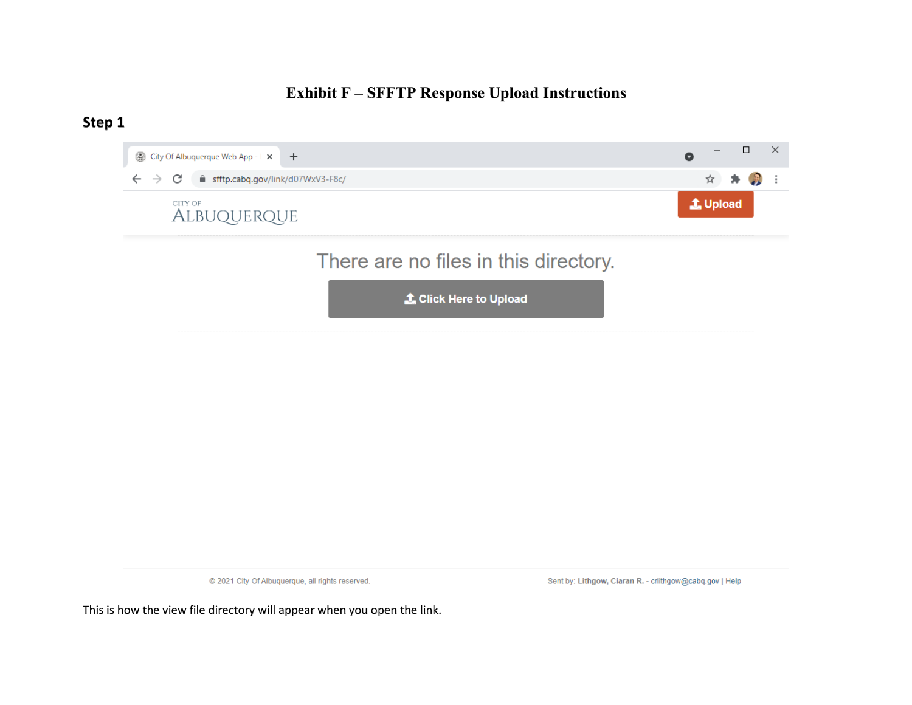### **Exhibit F – SFFTP Response Upload Instructions**

#### **Step 1**



@ 2021 City Of Albuquerque, all rights reserved.

Sent by: Lithgow, Ciaran R. - crlithgow@cabq.gov | Help

This is how the view file directory will appear when you open the link.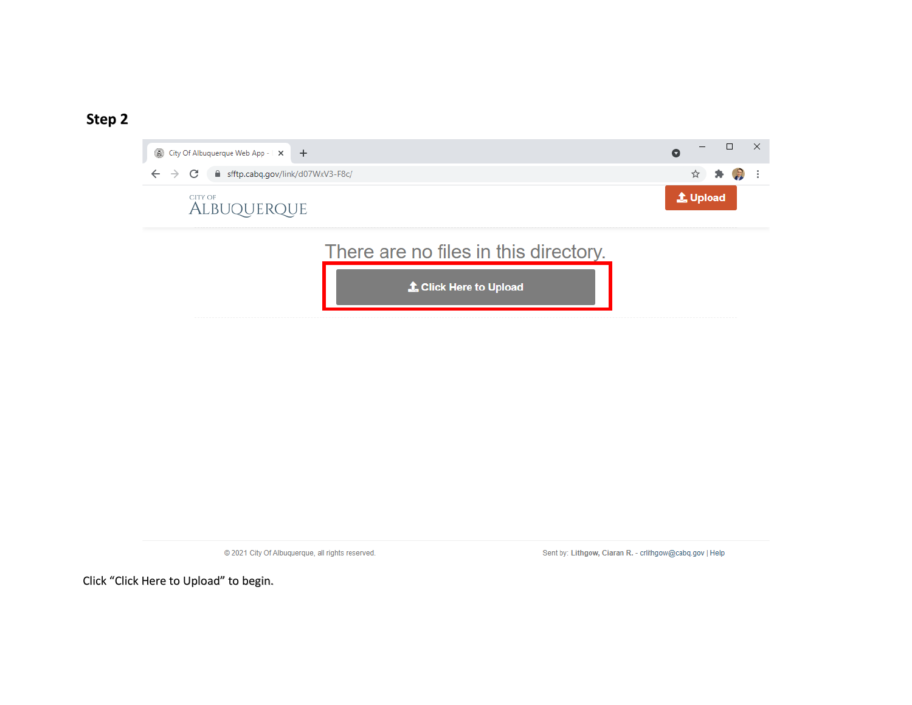

@ 2021 City Of Albuquerque, all rights reserved.

Sent by: Lithgow, Ciaran R. - crlithgow@cabq.gov | Help

Click "Click Here to Upload" to begin.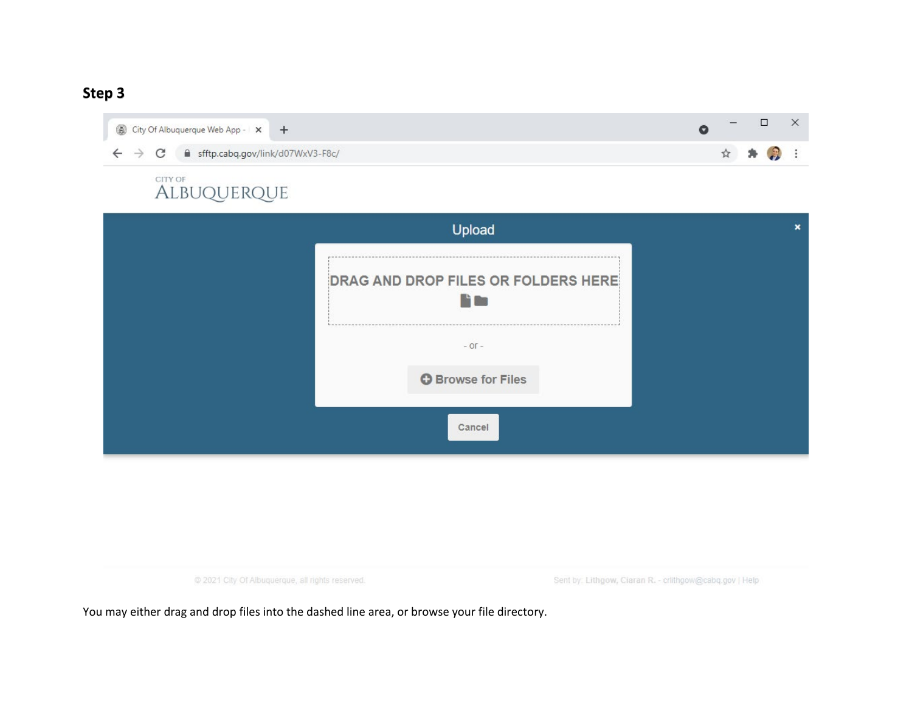

# CITY OF **ALBUQUERQUE**

| Upload                                                | × |
|-------------------------------------------------------|---|
| DRAG AND DROP FILES OR FOLDERS HERE<br><b>Philips</b> |   |
| $-$ OF $-$                                            |   |
| <b>O</b> Browse for Files                             |   |
| Cancel                                                |   |

@ 2021 City Of Albuquerque, all rights reserved.

Sent by: Lithgow, Ciaran R. - crithgow@cabq.gov | Help

You may either drag and drop files into the dashed line area, or browse your file directory.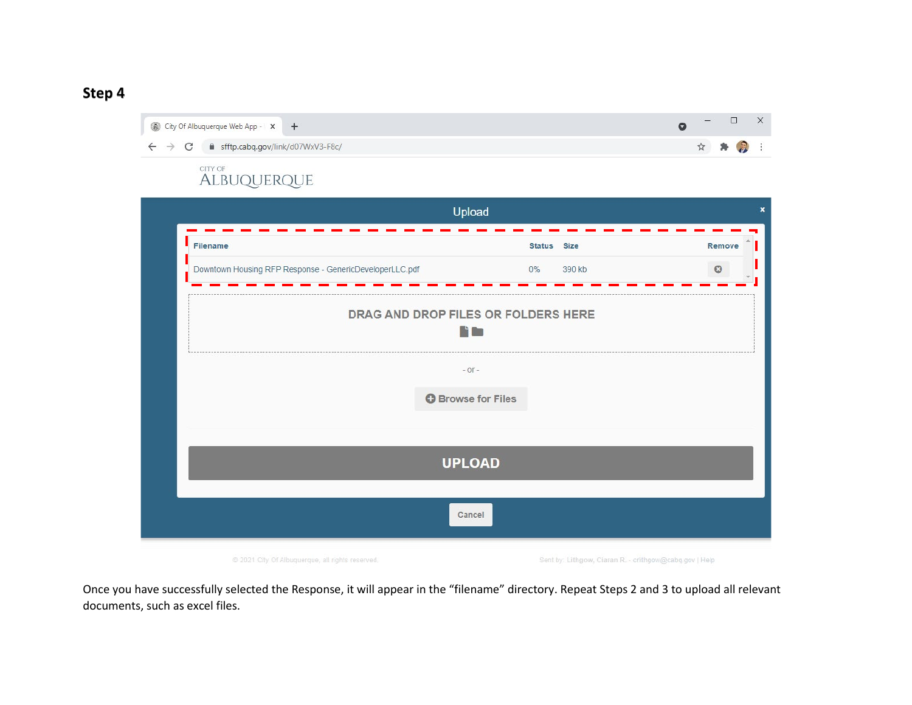

@ 2021 City Of Albuquerque, all rights reserved.

Sent by: Lithgow, Ciaran R. - crlithgow@cabq.gov | Help

Once you have successfully selected the Response, it will appear in the "filename" directory. Repeat Steps 2 and 3 to upload all relevant documents, such as excel files.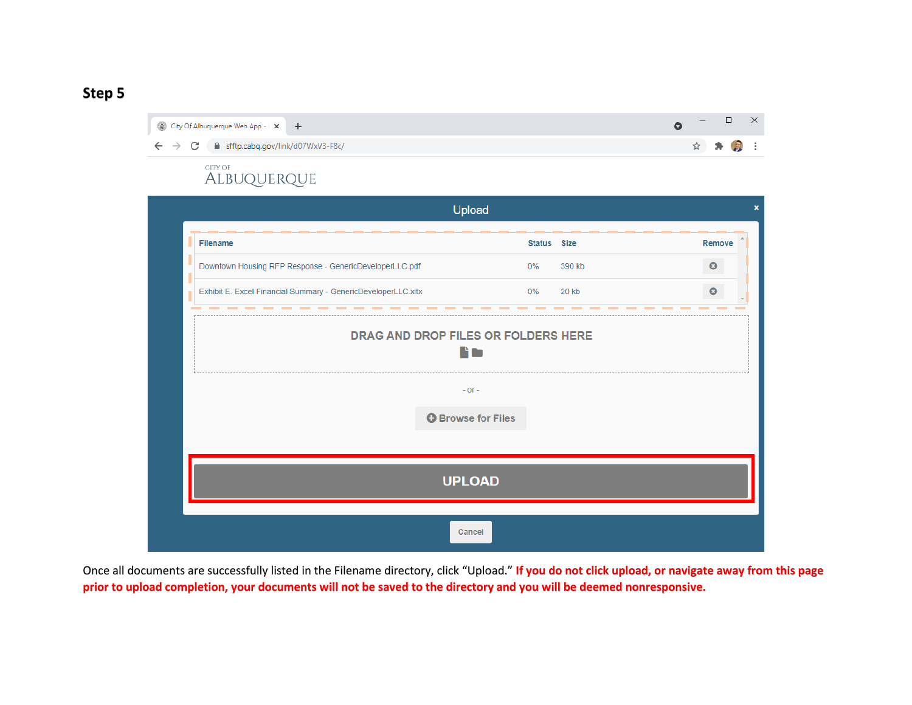| City Of Albuquerque Web App -   X   +                                                   | <u> — 1</u> |         |  |
|-----------------------------------------------------------------------------------------|-------------|---------|--|
| $\leftarrow$ $\rightarrow$ $\mathbb{C}$ $\blacksquare$ sfftp.cabq.gov/link/d07WxV3-F8c/ |             | ☆ ★ 2 : |  |

#### CITY OF ALBUQUERQUE



Once all documents are successfully listed in the Filename directory, click "Upload." **If you do not click upload, or navigate away from this page prior to upload completion, your documents will not be saved to the directory and you will be deemed nonresponsive.**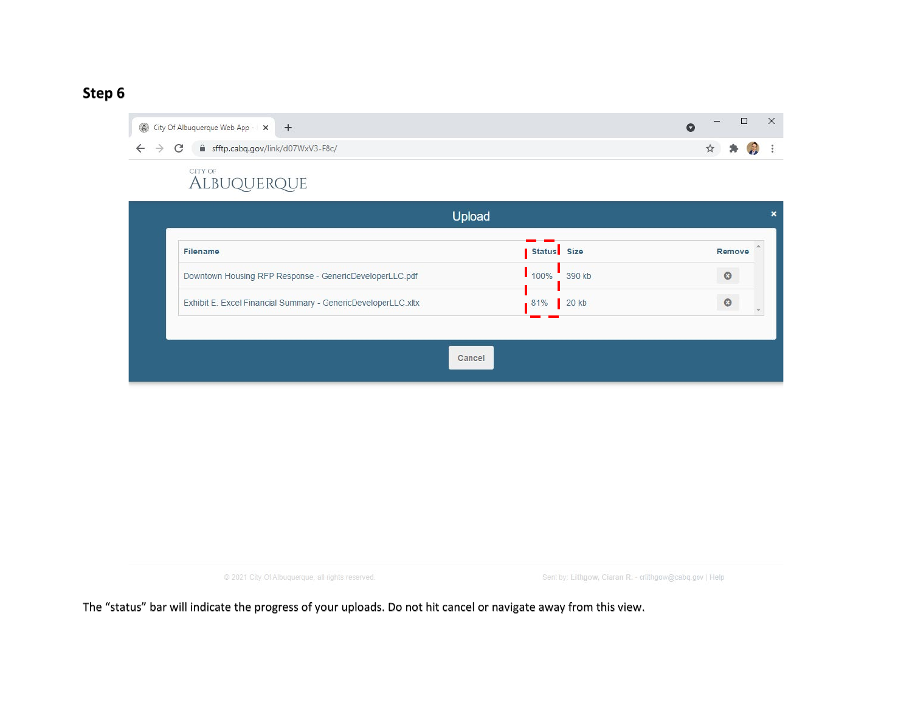| City Of Albuquerque Web App - x +                                       |  | - |         |  |
|-------------------------------------------------------------------------|--|---|---------|--|
| $\leftarrow$ $\rightarrow$ C $\quad$ a sfftp.cabq.gov/link/d07WxV3-F8c/ |  |   | ☆ ★ ② : |  |
| state a statement in the case of the                                    |  |   |         |  |

# CITY OF **ALBUQUERQUE**

| <b>Filename</b>                                               | Status Size    | Remove  |
|---------------------------------------------------------------|----------------|---------|
| Downtown Housing RFP Response - GenericDeveloperLLC.pdf       | 100%<br>390 kb | $\circ$ |
|                                                               |                | $\circ$ |
| Exhibit E. Excel Financial Summary - GenericDeveloperLLC.xltx | 20 k b<br>81%  |         |

@ 2021 City Of Albuquerque, all rights reserved.

Sent by: Lithgow, Ciaran R. - crlithgow@cabq.gov | Help

The "status" bar will indicate the progress of your uploads. Do not hit cancel or navigate away from this view.